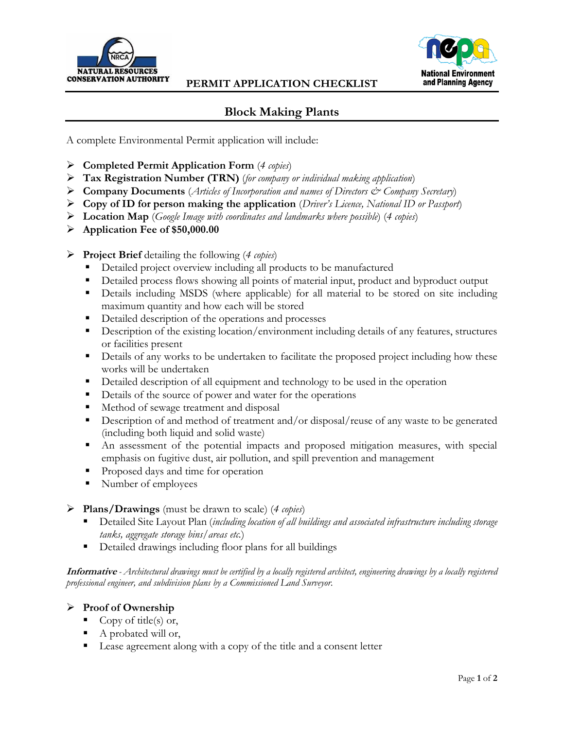



## **Block Making Plants**

A complete Environmental Permit application will include:

- **Completed Permit Application Form** (*4 copies*)
- **Tax Registration Number (TRN)** (*for company or individual making application*)
- **Company Documents** (*Articles of Incorporation and names of Directors & Company Secretary*)
- **Copy of ID for person making the application** (*Driver's Licence, National ID or Passport*)
- **Location Map** (*Google Image with coordinates and landmarks where possible*) (*4 copies*)
- **Application Fee of \$50,000.00**
- **Project Brief** detailing the following (*4 copies*)
	- Detailed project overview including all products to be manufactured
	- Detailed process flows showing all points of material input, product and byproduct output
	- Details including MSDS (where applicable) for all material to be stored on site including maximum quantity and how each will be stored
	- **•** Detailed description of the operations and processes
	- Description of the existing location/environment including details of any features, structures or facilities present
	- **•** Details of any works to be undertaken to facilitate the proposed project including how these works will be undertaken
	- Detailed description of all equipment and technology to be used in the operation
	- Details of the source of power and water for the operations
	- Method of sewage treatment and disposal
	- Description of and method of treatment and/or disposal/reuse of any waste to be generated (including both liquid and solid waste)
	- An assessment of the potential impacts and proposed mitigation measures, with special emphasis on fugitive dust, air pollution, and spill prevention and management
	- **Proposed days and time for operation**
	- Number of employees
- **Plans/Drawings** (must be drawn to scale) (*4 copies*)
	- Detailed Site Layout Plan (*including location of all buildings and associated infrastructure including storage tanks, aggregate storage bins/areas etc.*)
	- Detailed drawings including floor plans for all buildings

**Informative** *- Architectural drawings must be certified by a locally registered architect, engineering drawings by a locally registered professional engineer, and subdivision plans by a Commissioned Land Surveyor.*

## **Proof of Ownership**

- Copy of title(s) or,
- A probated will or,
- Lease agreement along with a copy of the title and a consent letter